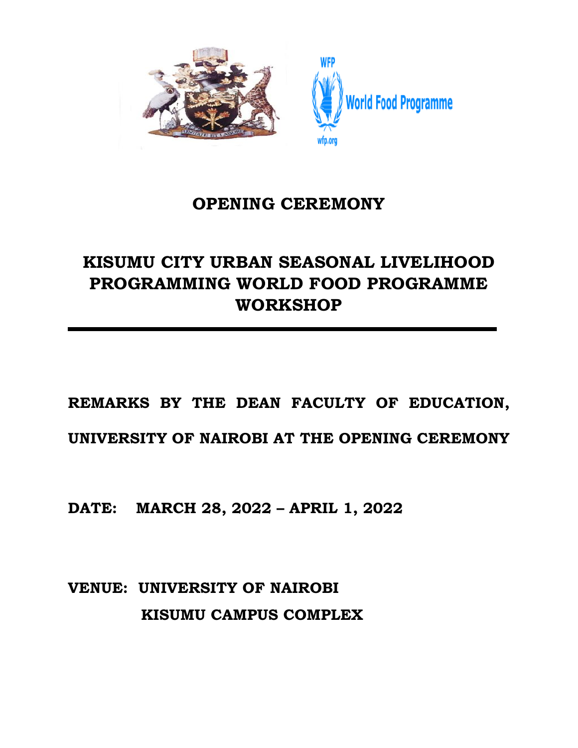

## **OPENING CEREMONY**

## **KISUMU CITY URBAN SEASONAL LIVELIHOOD PROGRAMMING WORLD FOOD PROGRAMME WORKSHOP**

## **REMARKS BY THE DEAN FACULTY OF EDUCATION,**

**UNIVERSITY OF NAIROBI AT THE OPENING CEREMONY**

**DATE: MARCH 28, 2022 – APRIL 1, 2022**

**VENUE: UNIVERSITY OF NAIROBI KISUMU CAMPUS COMPLEX**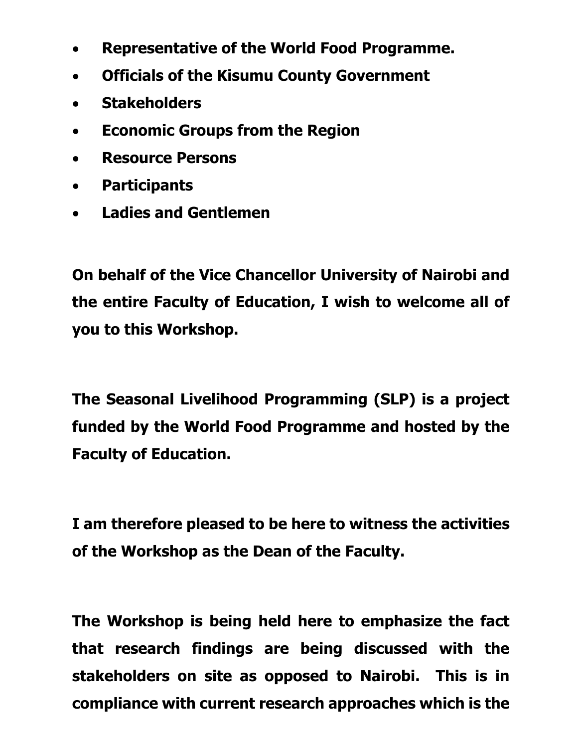- **Representative of the World Food Programme.**
- **Officials of the Kisumu County Government**
- **Stakeholders**
- **Economic Groups from the Region**
- **Resource Persons**
- **Participants**
- **Ladies and Gentlemen**

**On behalf of the Vice Chancellor University of Nairobi and the entire Faculty of Education, I wish to welcome all of you to this Workshop.**

**The Seasonal Livelihood Programming (SLP) is a project funded by the World Food Programme and hosted by the Faculty of Education.**

**I am therefore pleased to be here to witness the activities of the Workshop as the Dean of the Faculty.**

**The Workshop is being held here to emphasize the fact that research findings are being discussed with the stakeholders on site as opposed to Nairobi. This is in compliance with current research approaches which is the**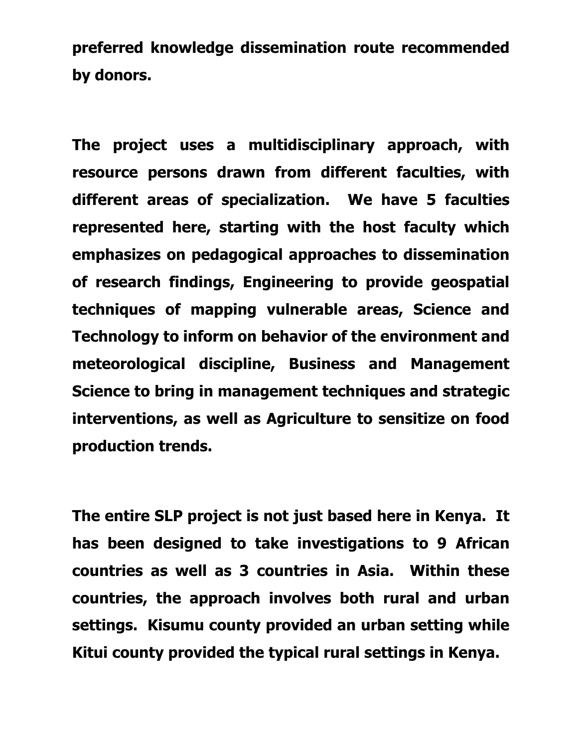**preferred knowledge dissemination route recommended by donors.**

**The project uses a multidisciplinary approach, with resource persons drawn from different faculties, with different areas of specialization. We have 5 faculties represented here, starting with the host faculty which emphasizes on pedagogical approaches to dissemination of research findings, Engineering to provide geospatial techniques of mapping vulnerable areas, Science and Technology to inform on behavior of the environment and meteorological discipline, Business and Management Science to bring in management techniques and strategic interventions, as well as Agriculture to sensitize on food production trends.**

**The entire SLP project is not just based here in Kenya. It has been designed to take investigations to 9 African countries as well as 3 countries in Asia. Within these countries, the approach involves both rural and urban settings. Kisumu county provided an urban setting while Kitui county provided the typical rural settings in Kenya.**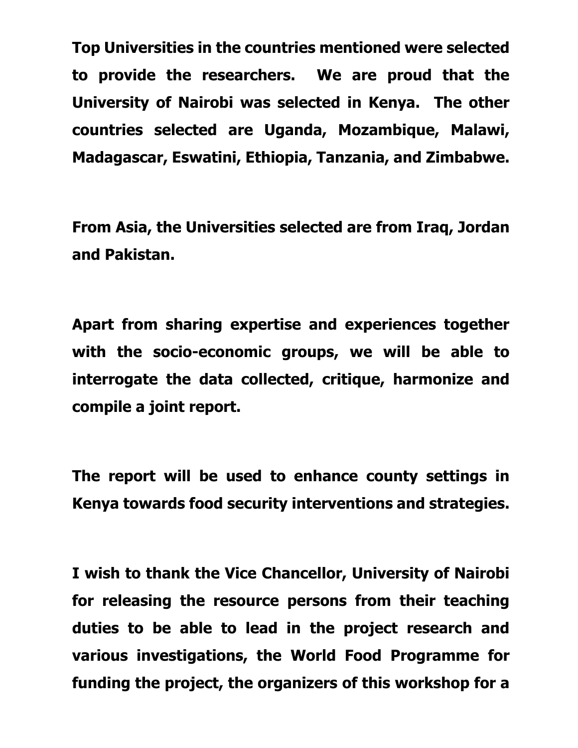**Top Universities in the countries mentioned were selected to provide the researchers. We are proud that the University of Nairobi was selected in Kenya. The other countries selected are Uganda, Mozambique, Malawi, Madagascar, Eswatini, Ethiopia, Tanzania, and Zimbabwe.**

**From Asia, the Universities selected are from Iraq, Jordan and Pakistan.**

**Apart from sharing expertise and experiences together with the socio-economic groups, we will be able to interrogate the data collected, critique, harmonize and compile a joint report.**

**The report will be used to enhance county settings in Kenya towards food security interventions and strategies.**

**I wish to thank the Vice Chancellor, University of Nairobi for releasing the resource persons from their teaching duties to be able to lead in the project research and various investigations, the World Food Programme for funding the project, the organizers of this workshop for a**